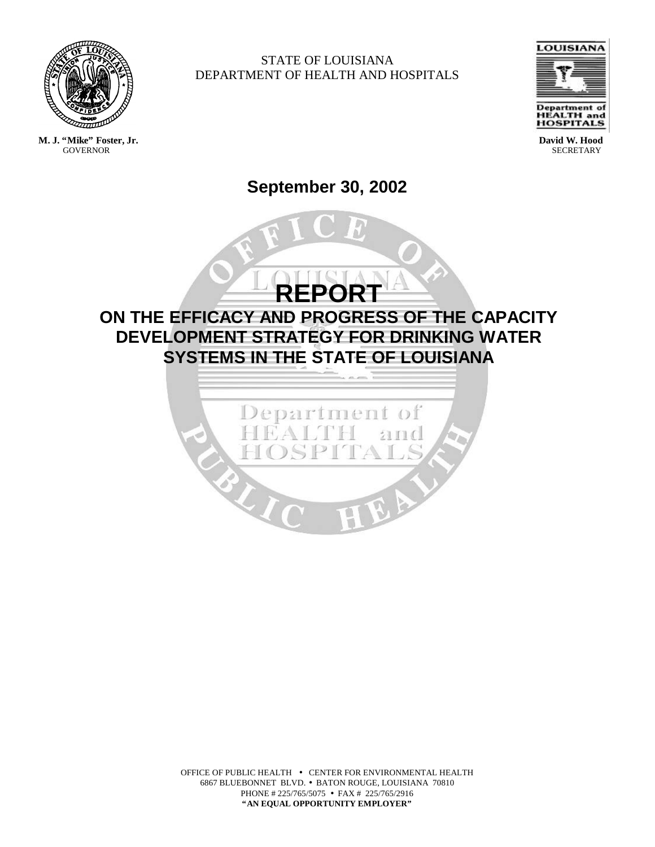

**GOVERNOR** 

STATE OF LOUISIANA DEPARTMENT OF HEALTH AND HOSPITALS



**David W. Hood SECRETARY** 

# **September 30, 2002**

**REPORT ON THE EFFICACY AND PROGRESS OF THE CAPACITY DEVELOPMENT STRATEGY FOR DRINKING WATER SYSTEMS IN THE STATE OF LOUISIANA**



OFFICE OF PUBLIC HEALTH • CENTER FOR ENVIRONMENTAL HEALTH 6867 BLUEBONNET BLVD. • BATON ROUGE, LOUISIANA 70810 PHONE # 225/765/5075 • FAX # 225/765/2916 **"AN EQUAL OPPORTUNITY EMPLOYER"**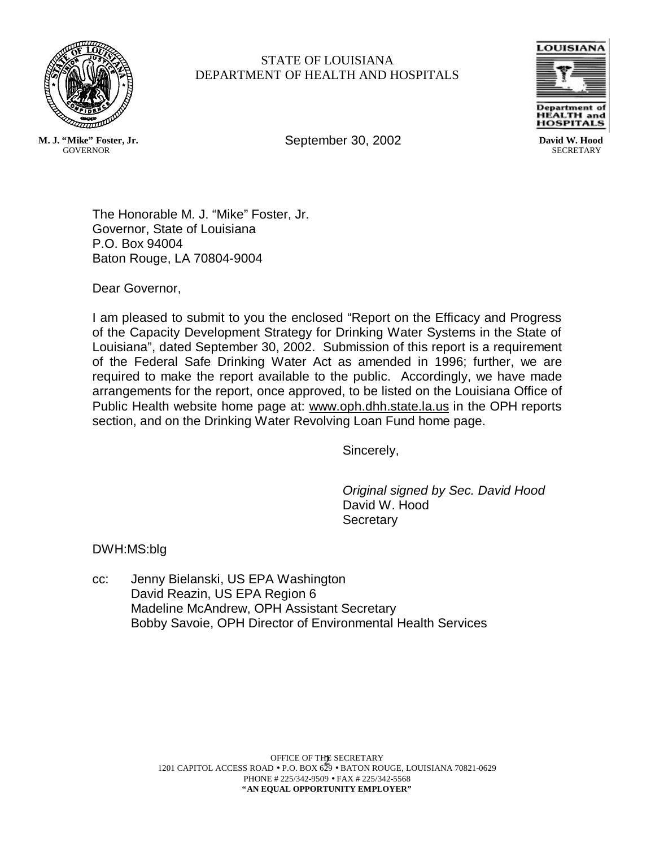

## STATE OF LOUISIANA DEPARTMENT OF HEALTH AND HOSPITALS

September 30, 2002



**David W. Hood SECRETARY** 

**M. J. "Mike" Foster, Jr. GOVERNOR** 

> The Honorable M. J. "Mike" Foster, Jr. Governor, State of Louisiana P.O. Box 94004 Baton Rouge, LA 70804-9004

Dear Governor,

I am pleased to submit to you the enclosed "Report on the Efficacy and Progress of the Capacity Development Strategy for Drinking Water Systems in the State of Louisiana", dated September 30, 2002. Submission of this report is a requirement of the Federal Safe Drinking Water Act as amended in 1996; further, we are required to make the report available to the public. Accordingly, we have made arrangements for the report, once approved, to be listed on the Louisiana Office of Public Health website home page at: www.oph.dhh.state.la.us in the OPH reports section, and on the Drinking Water Revolving Loan Fund home page.

Sincerely,

*Original signed by Sec. David Hood* David W. Hood **Secretary** 

DWH:MS:blg

cc: Jenny Bielanski, US EPA Washington David Reazin, US EPA Region 6 Madeline McAndrew, OPH Assistant Secretary Bobby Savoie, OPH Director of Environmental Health Services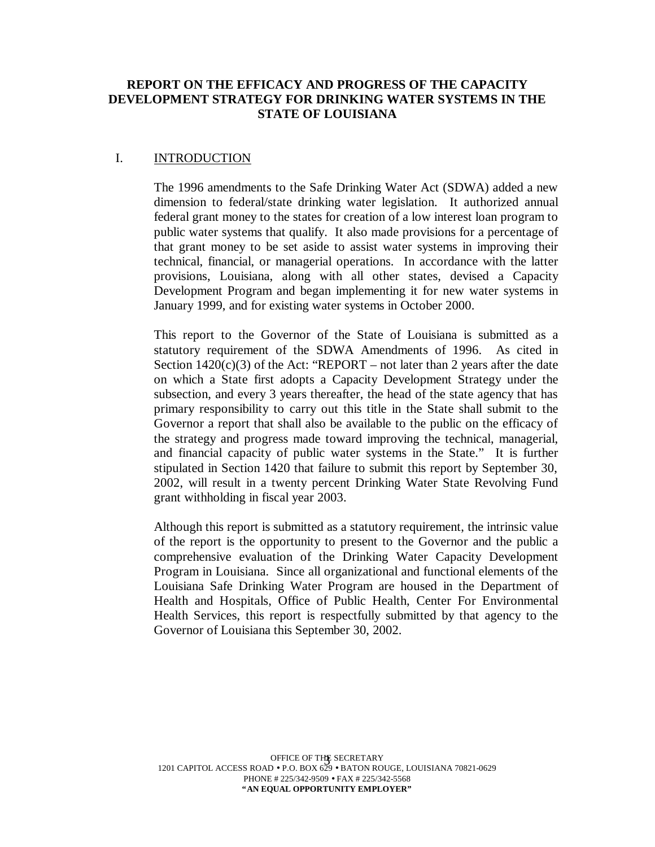## **REPORT ON THE EFFICACY AND PROGRESS OF THE CAPACITY DEVELOPMENT STRATEGY FOR DRINKING WATER SYSTEMS IN THE STATE OF LOUISIANA**

## I. INTRODUCTION

The 1996 amendments to the Safe Drinking Water Act (SDWA) added a new dimension to federal/state drinking water legislation. It authorized annual federal grant money to the states for creation of a low interest loan program to public water systems that qualify. It also made provisions for a percentage of that grant money to be set aside to assist water systems in improving their technical, financial, or managerial operations. In accordance with the latter provisions, Louisiana, along with all other states, devised a Capacity Development Program and began implementing it for new water systems in January 1999, and for existing water systems in October 2000.

This report to the Governor of the State of Louisiana is submitted as a statutory requirement of the SDWA Amendments of 1996. As cited in Section  $1420(c)(3)$  of the Act: "REPORT – not later than 2 years after the date on which a State first adopts a Capacity Development Strategy under the subsection, and every 3 years thereafter, the head of the state agency that has primary responsibility to carry out this title in the State shall submit to the Governor a report that shall also be available to the public on the efficacy of the strategy and progress made toward improving the technical, managerial, and financial capacity of public water systems in the State." It is further stipulated in Section 1420 that failure to submit this report by September 30, 2002, will result in a twenty percent Drinking Water State Revolving Fund grant withholding in fiscal year 2003.

Although this report is submitted as a statutory requirement, the intrinsic value of the report is the opportunity to present to the Governor and the public a comprehensive evaluation of the Drinking Water Capacity Development Program in Louisiana. Since all organizational and functional elements of the Louisiana Safe Drinking Water Program are housed in the Department of Health and Hospitals, Office of Public Health, Center For Environmental Health Services, this report is respectfully submitted by that agency to the Governor of Louisiana this September 30, 2002.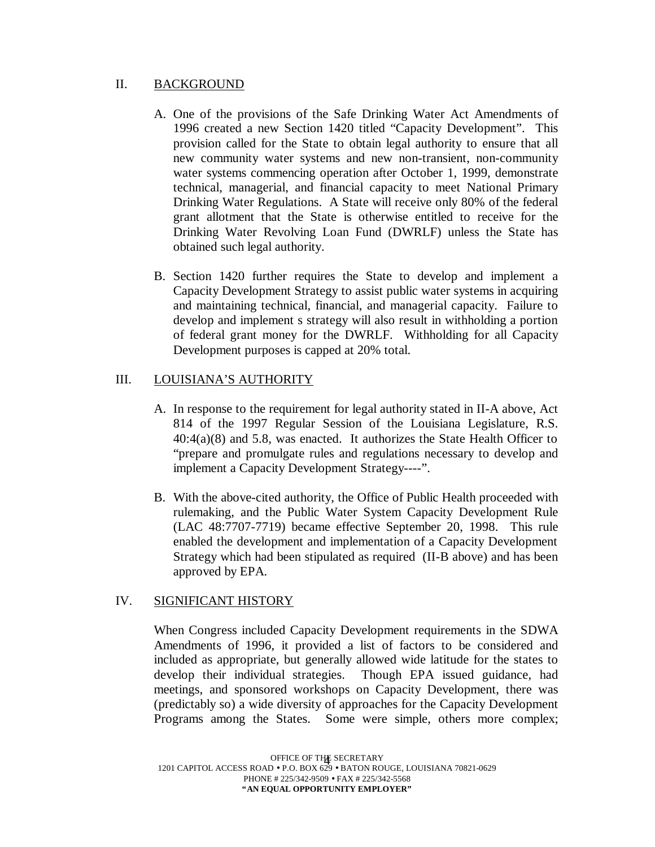## II. BACKGROUND

- A. One of the provisions of the Safe Drinking Water Act Amendments of 1996 created a new Section 1420 titled "Capacity Development". This provision called for the State to obtain legal authority to ensure that all new community water systems and new non-transient, non-community water systems commencing operation after October 1, 1999, demonstrate technical, managerial, and financial capacity to meet National Primary Drinking Water Regulations. A State will receive only 80% of the federal grant allotment that the State is otherwise entitled to receive for the Drinking Water Revolving Loan Fund (DWRLF) unless the State has obtained such legal authority.
- B. Section 1420 further requires the State to develop and implement a Capacity Development Strategy to assist public water systems in acquiring and maintaining technical, financial, and managerial capacity. Failure to develop and implement s strategy will also result in withholding a portion of federal grant money for the DWRLF. Withholding for all Capacity Development purposes is capped at 20% total.

# III. LOUISIANA'S AUTHORITY

- A. In response to the requirement for legal authority stated in II-A above, Act 814 of the 1997 Regular Session of the Louisiana Legislature, R.S. 40:4(a)(8) and 5.8, was enacted. It authorizes the State Health Officer to "prepare and promulgate rules and regulations necessary to develop and implement a Capacity Development Strategy----".
- B. With the above-cited authority, the Office of Public Health proceeded with rulemaking, and the Public Water System Capacity Development Rule (LAC 48:7707-7719) became effective September 20, 1998. This rule enabled the development and implementation of a Capacity Development Strategy which had been stipulated as required (II-B above) and has been approved by EPA.

# IV. SIGNIFICANT HISTORY

When Congress included Capacity Development requirements in the SDWA Amendments of 1996, it provided a list of factors to be considered and included as appropriate, but generally allowed wide latitude for the states to develop their individual strategies. Though EPA issued guidance, had meetings, and sponsored workshops on Capacity Development, there was (predictably so) a wide diversity of approaches for the Capacity Development Programs among the States. Some were simple, others more complex;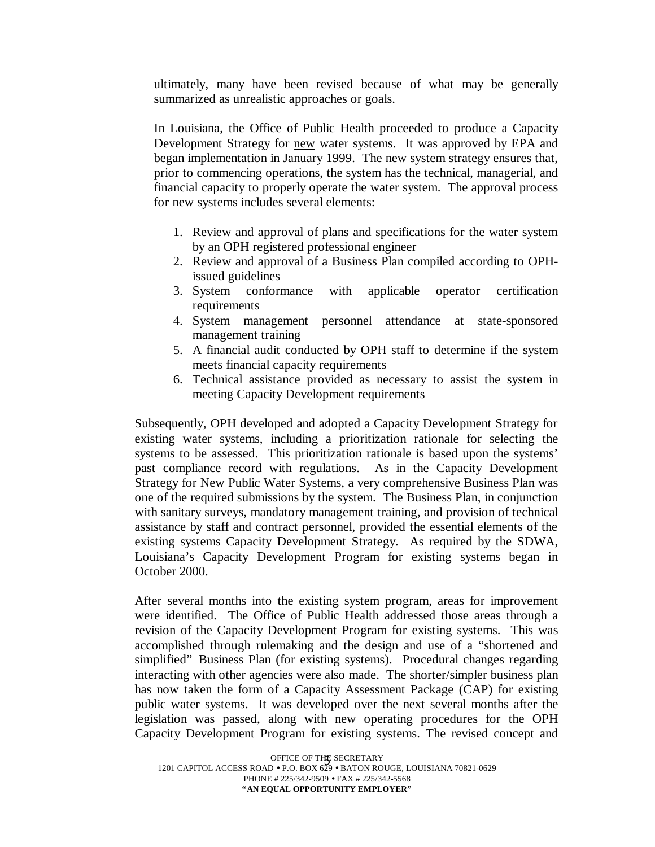ultimately, many have been revised because of what may be generally summarized as unrealistic approaches or goals.

In Louisiana, the Office of Public Health proceeded to produce a Capacity Development Strategy for new water systems. It was approved by EPA and began implementation in January 1999. The new system strategy ensures that, prior to commencing operations, the system has the technical, managerial, and financial capacity to properly operate the water system. The approval process for new systems includes several elements:

- 1. Review and approval of plans and specifications for the water system by an OPH registered professional engineer
- 2. Review and approval of a Business Plan compiled according to OPHissued guidelines
- 3. System conformance with applicable operator certification requirements
- 4. System management personnel attendance at state-sponsored management training
- 5. A financial audit conducted by OPH staff to determine if the system meets financial capacity requirements
- 6. Technical assistance provided as necessary to assist the system in meeting Capacity Development requirements

Subsequently, OPH developed and adopted a Capacity Development Strategy for existing water systems, including a prioritization rationale for selecting the systems to be assessed. This prioritization rationale is based upon the systems' past compliance record with regulations. As in the Capacity Development Strategy for New Public Water Systems, a very comprehensive Business Plan was one of the required submissions by the system. The Business Plan, in conjunction with sanitary surveys, mandatory management training, and provision of technical assistance by staff and contract personnel, provided the essential elements of the existing systems Capacity Development Strategy. As required by the SDWA, Louisiana's Capacity Development Program for existing systems began in October 2000.

After several months into the existing system program, areas for improvement were identified. The Office of Public Health addressed those areas through a revision of the Capacity Development Program for existing systems. This was accomplished through rulemaking and the design and use of a "shortened and simplified" Business Plan (for existing systems). Procedural changes regarding interacting with other agencies were also made. The shorter/simpler business plan has now taken the form of a Capacity Assessment Package (CAP) for existing public water systems. It was developed over the next several months after the legislation was passed, along with new operating procedures for the OPH Capacity Development Program for existing systems. The revised concept and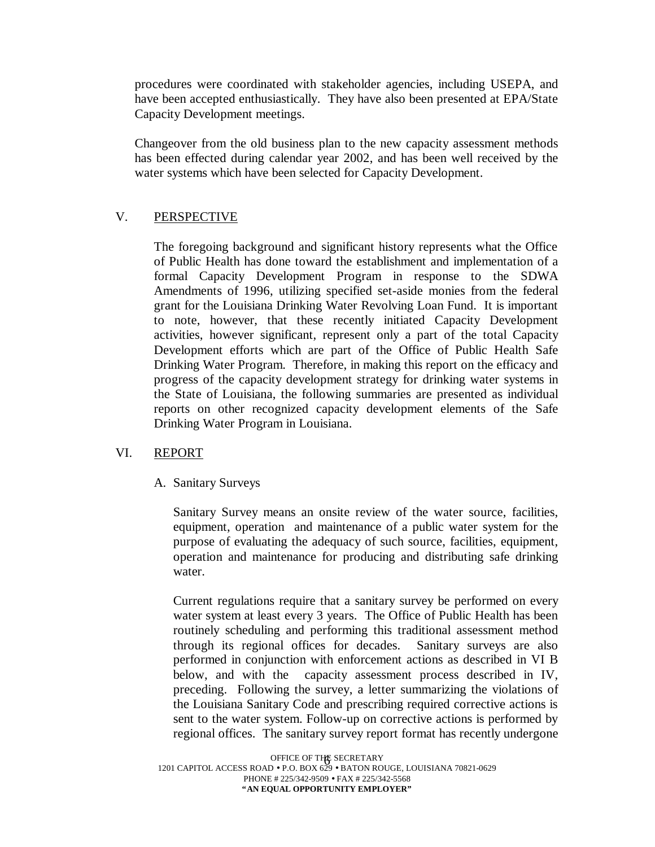procedures were coordinated with stakeholder agencies, including USEPA, and have been accepted enthusiastically. They have also been presented at EPA/State Capacity Development meetings.

Changeover from the old business plan to the new capacity assessment methods has been effected during calendar year 2002, and has been well received by the water systems which have been selected for Capacity Development.

# V. PERSPECTIVE

The foregoing background and significant history represents what the Office of Public Health has done toward the establishment and implementation of a formal Capacity Development Program in response to the SDWA Amendments of 1996, utilizing specified set-aside monies from the federal grant for the Louisiana Drinking Water Revolving Loan Fund. It is important to note, however, that these recently initiated Capacity Development activities, however significant, represent only a part of the total Capacity Development efforts which are part of the Office of Public Health Safe Drinking Water Program. Therefore, in making this report on the efficacy and progress of the capacity development strategy for drinking water systems in the State of Louisiana, the following summaries are presented as individual reports on other recognized capacity development elements of the Safe Drinking Water Program in Louisiana.

# VI. REPORT

# A. Sanitary Surveys

Sanitary Survey means an onsite review of the water source, facilities, equipment, operation and maintenance of a public water system for the purpose of evaluating the adequacy of such source, facilities, equipment, operation and maintenance for producing and distributing safe drinking water.

Current regulations require that a sanitary survey be performed on every water system at least every 3 years. The Office of Public Health has been routinely scheduling and performing this traditional assessment method through its regional offices for decades. Sanitary surveys are also performed in conjunction with enforcement actions as described in VI B below, and with the capacity assessment process described in IV, preceding. Following the survey, a letter summarizing the violations of the Louisiana Sanitary Code and prescribing required corrective actions is sent to the water system. Follow-up on corrective actions is performed by regional offices. The sanitary survey report format has recently undergone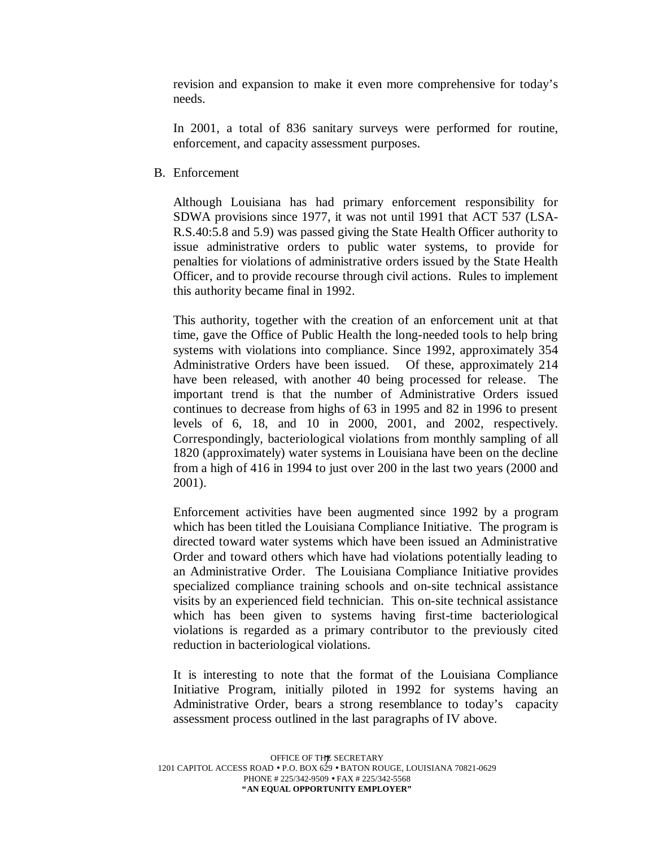revision and expansion to make it even more comprehensive for today's needs.

In 2001, a total of 836 sanitary surveys were performed for routine, enforcement, and capacity assessment purposes.

B. Enforcement

Although Louisiana has had primary enforcement responsibility for SDWA provisions since 1977, it was not until 1991 that ACT 537 (LSA-R.S.40:5.8 and 5.9) was passed giving the State Health Officer authority to issue administrative orders to public water systems, to provide for penalties for violations of administrative orders issued by the State Health Officer, and to provide recourse through civil actions. Rules to implement this authority became final in 1992.

This authority, together with the creation of an enforcement unit at that time, gave the Office of Public Health the long-needed tools to help bring systems with violations into compliance. Since 1992, approximately 354 Administrative Orders have been issued. Of these, approximately 214 have been released, with another 40 being processed for release. The important trend is that the number of Administrative Orders issued continues to decrease from highs of 63 in 1995 and 82 in 1996 to present levels of 6, 18, and 10 in 2000, 2001, and 2002, respectively. Correspondingly, bacteriological violations from monthly sampling of all 1820 (approximately) water systems in Louisiana have been on the decline from a high of 416 in 1994 to just over 200 in the last two years (2000 and 2001).

Enforcement activities have been augmented since 1992 by a program which has been titled the Louisiana Compliance Initiative. The program is directed toward water systems which have been issued an Administrative Order and toward others which have had violations potentially leading to an Administrative Order. The Louisiana Compliance Initiative provides specialized compliance training schools and on-site technical assistance visits by an experienced field technician. This on-site technical assistance which has been given to systems having first-time bacteriological violations is regarded as a primary contributor to the previously cited reduction in bacteriological violations.

It is interesting to note that the format of the Louisiana Compliance Initiative Program, initially piloted in 1992 for systems having an Administrative Order, bears a strong resemblance to today's capacity assessment process outlined in the last paragraphs of IV above.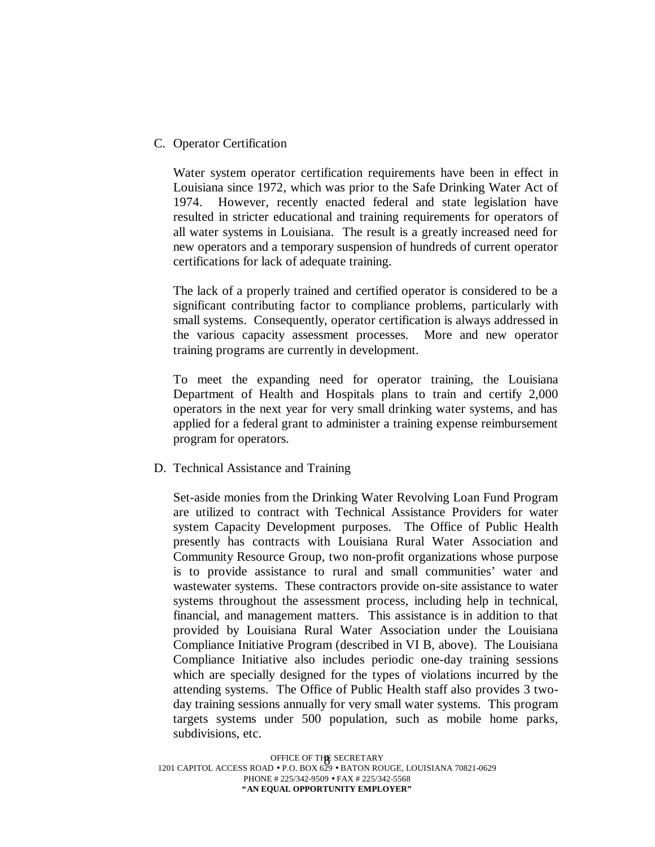#### C. Operator Certification

Water system operator certification requirements have been in effect in Louisiana since 1972, which was prior to the Safe Drinking Water Act of 1974. However, recently enacted federal and state legislation have resulted in stricter educational and training requirements for operators of all water systems in Louisiana. The result is a greatly increased need for new operators and a temporary suspension of hundreds of current operator certifications for lack of adequate training.

The lack of a properly trained and certified operator is considered to be a significant contributing factor to compliance problems, particularly with small systems. Consequently, operator certification is always addressed in the various capacity assessment processes. More and new operator training programs are currently in development.

To meet the expanding need for operator training, the Louisiana Department of Health and Hospitals plans to train and certify 2,000 operators in the next year for very small drinking water systems, and has applied for a federal grant to administer a training expense reimbursement program for operators.

#### D. Technical Assistance and Training

Set-aside monies from the Drinking Water Revolving Loan Fund Program are utilized to contract with Technical Assistance Providers for water system Capacity Development purposes. The Office of Public Health presently has contracts with Louisiana Rural Water Association and Community Resource Group, two non-profit organizations whose purpose is to provide assistance to rural and small communities' water and wastewater systems. These contractors provide on-site assistance to water systems throughout the assessment process, including help in technical, financial, and management matters. This assistance is in addition to that provided by Louisiana Rural Water Association under the Louisiana Compliance Initiative Program (described in VI B, above). The Louisiana Compliance Initiative also includes periodic one-day training sessions which are specially designed for the types of violations incurred by the attending systems. The Office of Public Health staff also provides 3 twoday training sessions annually for very small water systems. This program targets systems under 500 population, such as mobile home parks, subdivisions, etc.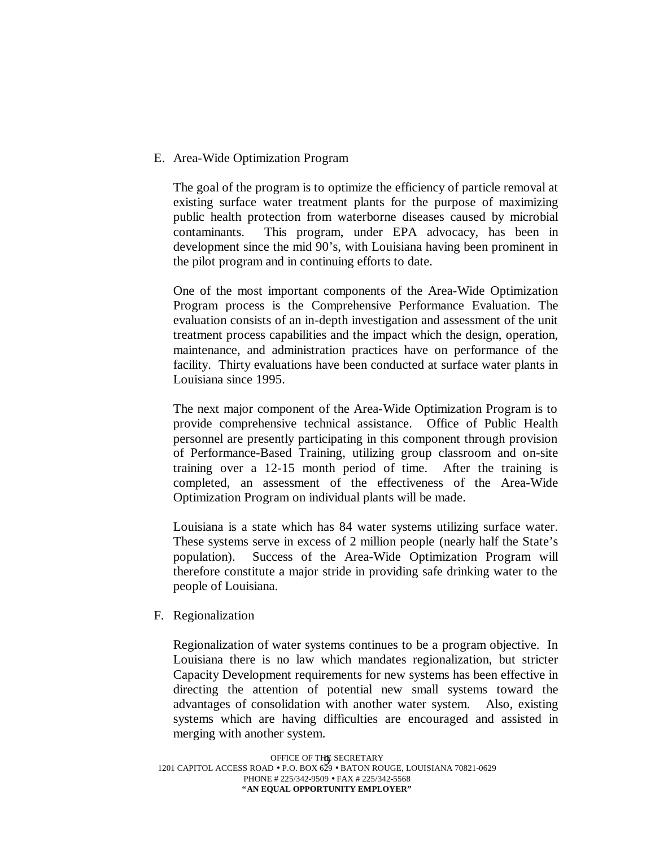## E. Area-Wide Optimization Program

The goal of the program is to optimize the efficiency of particle removal at existing surface water treatment plants for the purpose of maximizing public health protection from waterborne diseases caused by microbial contaminants. This program, under EPA advocacy, has been in development since the mid 90's, with Louisiana having been prominent in the pilot program and in continuing efforts to date.

One of the most important components of the Area-Wide Optimization Program process is the Comprehensive Performance Evaluation. The evaluation consists of an in-depth investigation and assessment of the unit treatment process capabilities and the impact which the design, operation, maintenance, and administration practices have on performance of the facility. Thirty evaluations have been conducted at surface water plants in Louisiana since 1995.

The next major component of the Area-Wide Optimization Program is to provide comprehensive technical assistance. Office of Public Health personnel are presently participating in this component through provision of Performance-Based Training, utilizing group classroom and on-site training over a 12-15 month period of time. After the training is completed, an assessment of the effectiveness of the Area-Wide Optimization Program on individual plants will be made.

Louisiana is a state which has 84 water systems utilizing surface water. These systems serve in excess of 2 million people (nearly half the State's population). Success of the Area-Wide Optimization Program will therefore constitute a major stride in providing safe drinking water to the people of Louisiana.

#### F. Regionalization

Regionalization of water systems continues to be a program objective. In Louisiana there is no law which mandates regionalization, but stricter Capacity Development requirements for new systems has been effective in directing the attention of potential new small systems toward the advantages of consolidation with another water system. Also, existing systems which are having difficulties are encouraged and assisted in merging with another system.